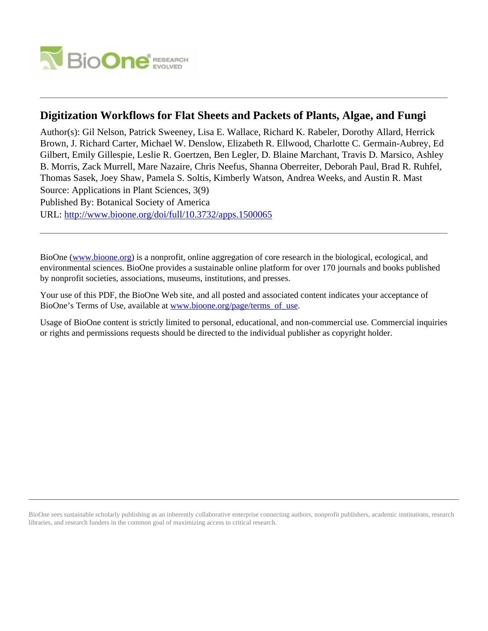

# **Digitization Workflows for Flat Sheets and Packets of Plants, Algae, and Fungi**

Author(s): Gil Nelson, Patrick Sweeney, Lisa E. Wallace, Richard K. Rabeler, Dorothy Allard, Herrick Brown, J. Richard Carter, Michael W. Denslow, Elizabeth R. Ellwood, Charlotte C. Germain-Aubrey, Ed Gilbert, Emily Gillespie, Leslie R. Goertzen, Ben Legler, D. Blaine Marchant, Travis D. Marsico, Ashley B. Morris, Zack Murrell, Mare Nazaire, Chris Neefus, Shanna Oberreiter, Deborah Paul, Brad R. Ruhfel, Thomas Sasek, Joey Shaw, Pamela S. Soltis, Kimberly Watson, Andrea Weeks, and Austin R. Mast Source: Applications in Plant Sciences, 3(9) Published By: Botanical Society of America URL: <http://www.bioone.org/doi/full/10.3732/apps.1500065>

BioOne [\(www.bioone.org\)](http://www.bioone.org) is a nonprofit, online aggregation of core research in the biological, ecological, and environmental sciences. BioOne provides a sustainable online platform for over 170 journals and books published by nonprofit societies, associations, museums, institutions, and presses.

Your use of this PDF, the BioOne Web site, and all posted and associated content indicates your acceptance of BioOne's Terms of Use, available at [www.bioone.org/page/terms\\_of\\_use.](http://www.bioone.org/page/terms_of_use)

Usage of BioOne content is strictly limited to personal, educational, and non-commercial use. Commercial inquiries or rights and permissions requests should be directed to the individual publisher as copyright holder.

BioOne sees sustainable scholarly publishing as an inherently collaborative enterprise connecting authors, nonprofit publishers, academic institutions, research libraries, and research funders in the common goal of maximizing access to critical research.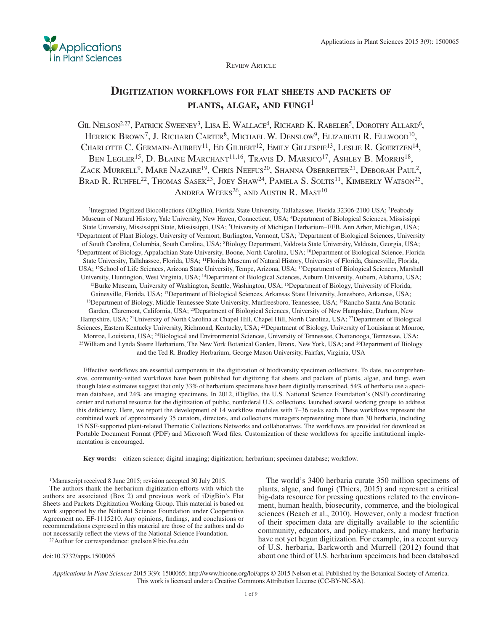

REVIEW ARTICLE

# **DIGITIZATION WORKFLOWS FOR FLAT SHEETS AND PACKETS OF PLANTS, ALGAE, AND FUNGI**<sup>1</sup>

GIL NELSON<sup>2,27</sup>, PATRICK SWEENEY<sup>3</sup>, LISA E. WALLACE<sup>4</sup>, RICHARD K. RABELER<sup>5</sup>, DOROTHY ALLARD<sup>6</sup>, HERRICK BROWN<sup>7</sup>, J. RICHARD CARTER<sup>8</sup>, MICHAEL W. DENSLOW<sup>9</sup>, ELIZABETH R. ELLWOOD<sup>10</sup>, CHARLOTTE C. GERMAIN-AUBREY<sup>11</sup>, ED GILBERT<sup>12</sup>, EMILY GILLESPIE<sup>13</sup>, LESLIE R. GOERTZEN<sup>14</sup>, BEN LEGLER<sup>15</sup>, D. BLAINE MARCHANT<sup>11,16</sup>, TRAVIS D. MARSICO<sup>17</sup>, ASHLEY B. MORRIS<sup>18</sup>, ZACK MURRELL<sup>9</sup>, MARE NAZAIRE<sup>19</sup>, CHRIS NEEFUS<sup>20</sup>, SHANNA OBERREITER<sup>21</sup>, DEBORAH PAUL<sup>2</sup>, BRAD R. RUHFEL<sup>22</sup>, THOMAS SASEK<sup>23</sup>, JOEY SHAW<sup>24</sup>, PAMELA S. SOLTIS<sup>11</sup>, KIMBERLY WATSON<sup>25</sup>, ANDREA WEEKS<sup>26</sup>, AND AUSTIN R. MAST<sup>10</sup>

<sup>2</sup>Integrated Digitized Biocollections (iDigBio), Florida State University, Tallahassee, Florida 32306-2100 USA; <sup>3</sup>Peabody Museum of Natural History, Yale University, New Haven, Connecticut, USA; 4 Department of Biological Sciences, Mississippi State University, Mississippi State, Mississippi, USA; <sup>5</sup>University of Michigan Herbarium–EEB, Ann Arbor, Michigan, USA; <sup>6</sup>Department of Plant Biology, University of Vermont, Burlington, Vermont, USA; <sup>7</sup>Department of Bi of South Carolina, Columbia, South Carolina, USA; <sup>8</sup>Biology Department, Valdosta State University, Valdosta, Georgia, USA;<br><sup>9</sup>Department of Biology, Appalachian State University, Boone, North Carolina, USA; <sup>10</sup>Department State University, Tallahassee, Florida, USA; <sup>11</sup> Florida Museum of Natural History, University of Florida, Gainesville, Florida, USA; 12 School of Life Sciences, Arizona State University, Tempe, Arizona, USA; 13 Department of Biological Sciences, Marshall University, Huntington, West Virginia, USA; <sup>14</sup>Department of Biological Sciences, Auburn University, Auburn, Alabama, USA; <sup>15</sup>Burke Museum, University of Washington, Seattle, Washington, USA; <sup>16</sup>Department of Biology, U Gainesville, Florida, USA; <sup>17</sup>Department of Biological Sciences, Arkansas State University, Jonesboro, Arkansas, USA; <sup>18</sup>Department of Biology, Middle Tennessee State University, Murfreesboro, Tennessee, USA; <sup>19</sup>Rancho Garden, Claremont, California, USA; 20 Department of Biological Sciences, University of New Hampshire, Durham, New Hampshire, USA; 21 University of North Carolina at Chapel Hill, Chapel Hill, North Carolina, USA; 22 Department of Biological Sciences, Eastern Kentucky University, Richmond, Kentucky, USA; <sup>23</sup>Department of Biology, University of Louisiana at Monroe, Monroe, Louisiana, USA; <sup>24</sup>Biological and Environmental Sciences, University of Tennessee, Chattanooga, Tennessee, USA; <sup>25</sup>William and Lynda Steere Herbarium, The New York Botanical Garden, Bronx, New York, USA; and <sup>26</sup> and the Ted R. Bradley Herbarium, George Mason University, Fairfax, Virginia, USA

Effective workflows are essential components in the digitization of biodiversity specimen collections. To date, no comprehensive, community-vetted workflows have been published for digitizing flat sheets and packets of plants, algae, and fungi, even though latest estimates suggest that only 33% of herbarium specimens have been digitally transcribed, 54% of herbaria use a specimen database, and 24% are imaging specimens. In 2012, iDigBio, the U.S. National Science Foundation's (NSF) coordinating center and national resource for the digitization of public, nonfederal U.S. collections, launched several working groups to address this deficiency. Here, we report the development of 14 workflow modules with 7–36 tasks each. These workflows represent the combined work of approximately 35 curators, directors, and collections managers representing more than 30 herbaria, including 15 NSF-supported plant-related Thematic Collections Networks and collaboratives. The workflows are provided for download as Portable Document Format (PDF) and Microsoft Word files. Customization of these workflows for specific institutional implementation is encouraged.

**Key words:** citizen science; digital imaging; digitization; herbarium; specimen database; workflow.

1 Manuscript received 8 June 2015; revision accepted 30 July 2015. The authors thank the herbarium digitization efforts with which the authors are associated (Box 2) and previous work of iDigBio's Flat Sheets and Packets Digitization Working Group. This material is based on work supported by the National Science Foundation under Cooperative Agreement no. EF-1115210. Any opinions, findings, and conclusions or recommendations expressed in this material are those of the authors and do not necessarily reflect the views of the National Science Foundation. <sup>27</sup> Author for correspondence: gnelson@bio.fsu.edu

doi:10.3732/apps.1500065

 The world's 3400 herbaria curate 350 million specimens of plants, algae, and fungi (Thiers, 2015) and represent a critical big-data resource for pressing questions related to the environment, human health, biosecurity, commerce, and the biological sciences (Beach et al., 2010). However, only a modest fraction of their specimen data are digitally available to the scientific community, educators, and policy-makers, and many herbaria have not yet begun digitization. For example, in a recent survey of U.S. herbaria, Barkworth and Murrell (2012) found that about one third of U.S. herbarium specimens had been databased

*Applications in Plant Sciences* 2015 3(9): 1500065; http://www.bioone.org/loi/apps © 2015 Nelson et al. Published by the Botanical Society of America. This work is licensed under a Creative Commons Attribution License (CC-BY-NC-SA).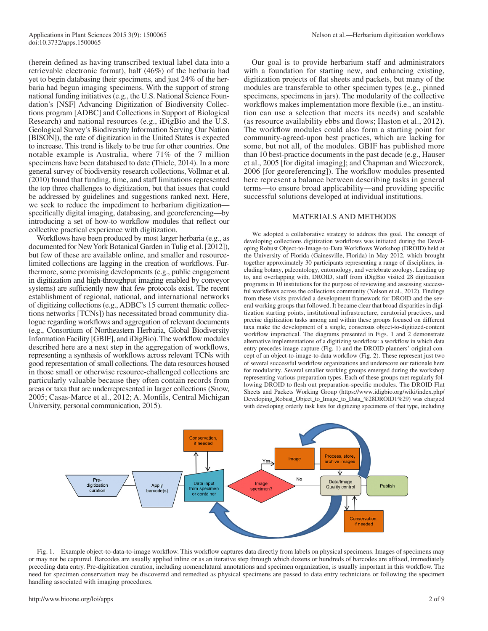(herein defined as having transcribed textual label data into a retrievable electronic format), half (46%) of the herbaria had yet to begin databasing their specimens, and just 24% of the herbaria had begun imaging specimens. With the support of strong national funding initiatives (e.g., the U.S. National Science Foundation's [NSF] Advancing Digitization of Biodiversity Collections program [ADBC] and Collections in Support of Biological Research) and national resources (e.g., iDigBio and the U.S. Geological Survey's Biodiversity Information Serving Our Nation [BISON]), the rate of digitization in the United States is expected to increase. This trend is likely to be true for other countries. One notable example is Australia, where 71% of the 7 million specimens have been databased to date (Thiele, 2014). In a more general survey of biodiversity research collections, Vollmar et al. (2010) found that funding, time, and staff limitations represented the top three challenges to digitization, but that issues that could be addressed by guidelines and suggestions ranked next. Here, we seek to reduce the impediment to herbarium digitization specifically digital imaging, databasing, and georeferencing—by introducing a set of how-to workflow modules that reflect our collective practical experience with digitization.

Workflows have been produced by most larger herbaria (e.g., as documented for New York Botanical Garden in Tulig et al. [2012] ), but few of these are available online, and smaller and resourcelimited collections are lagging in the creation of workflows. Furthermore, some promising developments (e.g., public engagement in digitization and high-throughput imaging enabled by conveyor systems) are sufficiently new that few protocols exist. The recent establishment of regional, national, and international networks of digitizing collections (e.g., ADBC's 15 current thematic collections networks [TCNs]) has necessitated broad community dialogue regarding workflows and aggregation of relevant documents (e.g., Consortium of Northeastern Herbaria, Global Biodiversity Information Facility [GBIF], and iDigBio). The workflow modules described here are a next step in the aggregation of workflows, representing a synthesis of workflows across relevant TCNs with good representation of small collections. The data resources housed in those small or otherwise resource-challenged collections are particularly valuable because they often contain records from areas or taxa that are underrepresented in larger collections ( Snow, 2005; Casas-Marce et al., 2012; A. Monfils, Central Michigan University, personal communication, 2015).

 Our goal is to provide herbarium staff and administrators with a foundation for starting new, and enhancing existing, digitization projects of flat sheets and packets, but many of the modules are transferable to other specimen types (e.g., pinned specimens, specimens in jars). The modularity of the collective workflows makes implementation more flexible (i.e., an institution can use a selection that meets its needs) and scalable (as resource availability ebbs and flows; Haston et al., 2012). The workflow modules could also form a starting point for community-agreed-upon best practices, which are lacking for some, but not all, of the modules. GBIF has published more than 10 best-practice documents in the past decade (e.g., Hauser et al., 2005 [for digital imaging]; and Chapman and Wieczorek, 2006 [for georeferencing]). The workflow modules presented here represent a balance between describing tasks in general terms—to ensure broad applicability—and providing specific successful solutions developed at individual institutions.

## MATERIALS AND METHODS

 We adopted a collaborative strategy to address this goal. The concept of developing collections digitization workflows was initiated during the Developing Robust Object-to-Image-to-Data Workflows Workshop (DROID) held at the University of Florida (Gainesville, Florida) in May 2012, which brought together approximately 30 participants representing a range of disciplines, including botany, paleontology, entomology, and vertebrate zoology. Leading up to, and overlapping with, DROID, staff from iDigBio visited 28 digitization programs in 10 institutions for the purpose of reviewing and assessing successful workflows across the collections community (Nelson et al., 2012). Findings from these visits provided a development framework for DROID and the several working groups that followed. It became clear that broad disparities in digitization starting points, institutional infrastructure, curatorial practices, and precise digitization tasks among and within these groups focused on different taxa make the development of a single, consensus object-to-digitized-content workflow impractical. The diagrams presented in Figs. 1 and 2 demonstrate alternative implementations of a digitizing workflow: a workflow in which data entry precedes image capture (Fig. 1) and the DROID planners' original concept of an object-to-image-to-data workflow (Fig. 2). These represent just two of several successful workflow organizations and underscore our rationale here for modularity. Several smaller working groups emerged during the workshop representing various preparation types. Each of these groups met regularly following DROID to flesh out preparation-specific modules. The DROID Flat Sheets and Packets Working Group (https://www.idigbio.org/wiki/index.php/ Developing\_Robust\_Object\_to\_Image\_to\_Data\_%28DROID1%29) was charged with developing orderly task lists for digitizing specimens of that type, including



Fig. 1. Example object-to-data-to-image workflow. This workflow captures data directly from labels on physical specimens. Images of specimens may or may not be captured. Barcodes are usually applied inline or as an iterative step through which dozens or hundreds of barcodes are affixed, immediately preceding data entry. Pre-digitization curation, including nomenclatural annotations and specimen organization, is usually important in this workflow. The need for specimen conservation may be discovered and remedied as physical specimens are passed to data entry technicians or following the specimen handling associated with imaging procedures.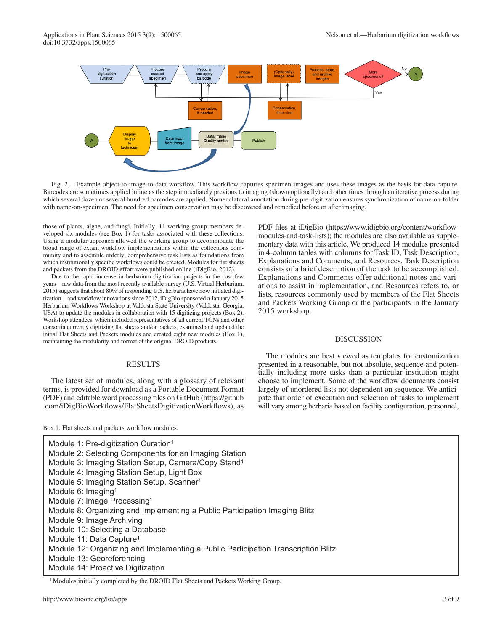

Fig. 2. Example object-to-image-to-data workflow. This workflow captures specimen images and uses these images as the basis for data capture. Barcodes are sometimes applied inline as the step immediately previous to imaging (shown optionally) and other times through an iterative process during which several dozen or several hundred barcodes are applied. Nomenclatural annotation during pre-digitization ensures synchronization of name-on-folder with name-on-specimen. The need for specimen conservation may be discovered and remedied before or after imaging.

those of plants, algae, and fungi. Initially, 11 working group members developed six modules (see Box 1) for tasks associated with these collections. Using a modular approach allowed the working group to accommodate the broad range of extant workflow implementations within the collections community and to assemble orderly, comprehensive task lists as foundations from which institutionally specific workflows could be created. Modules for flat sheets and packets from the DROID effort were published online (iDigBio, 2012).

 Due to the rapid increase in herbarium digitization projects in the past few years—raw data from the most recently available survey (U.S. Virtual Herbarium, 2015 ) suggests that about 80% of responding U.S. herbaria have now initiated digitization—and workflow innovations since 2012, iDigBio sponsored a January 2015 Herbarium Workflows Workshop at Valdosta State University (Valdosta, Georgia, USA) to update the modules in collaboration with 15 digitizing projects (Box 2). Workshop attendees, which included representatives of all current TCNs and other consortia currently digitizing flat sheets and/or packets, examined and updated the initial Flat Sheets and Packets modules and created eight new modules (Box 1), maintaining the modularity and format of the original DROID products.

## RESULTS

 The latest set of modules, along with a glossary of relevant terms, is provided for download as a Portable Document Format (PDF) and editable word processing files on GitHub (https://github .com/iDigBioWorkflows/FlatSheetsDigitizationWorkflows), as

PDF files at iDigBio (https://www.idigbio.org/content/workflowmodules-and-task-lists ); the modules are also available as supplementary data with this article. We produced 14 modules presented in 4-column tables with columns for Task ID, Task Description, Explanations and Comments, and Resources. Task Description consists of a brief description of the task to be accomplished. Explanations and Comments offer additional notes and variations to assist in implementation, and Resources refers to, or lists, resources commonly used by members of the Flat Sheets and Packets Working Group or the participants in the January 2015 workshop.

#### DISCUSSION

 The modules are best viewed as templates for customization presented in a reasonable, but not absolute, sequence and potentially including more tasks than a particular institution might choose to implement. Some of the workflow documents consist largely of unordered lists not dependent on sequence. We anticipate that order of execution and selection of tasks to implement will vary among herbaria based on facility configuration, personnel,

Box 1. Flat sheets and packets workflow modules.

| Module 1: Pre-digitization Curation <sup>1</sup>                                             |
|----------------------------------------------------------------------------------------------|
| Module 2: Selecting Components for an Imaging Station                                        |
| Module 3: Imaging Station Setup, Camera/Copy Stand <sup>1</sup>                              |
| Module 4: Imaging Station Setup, Light Box                                                   |
| Module 5: Imaging Station Setup, Scanner <sup>1</sup>                                        |
| Module 6: Imaging <sup>1</sup>                                                               |
| Module 7: Image Processing <sup>1</sup>                                                      |
| Module 8: Organizing and Implementing a Public Participation Imaging Blitz                   |
| Module 9: Image Archiving                                                                    |
| Module 10: Selecting a Database                                                              |
| Module 11: Data Capture <sup>1</sup>                                                         |
| Module 12: Organizing and Implementing a Public Participation Transcription Blitz            |
| Module 13: Georeferencing                                                                    |
| Module 14: Proactive Digitization                                                            |
| $\frac{1}{2}$ Modules initially completed by the DROID Flat Sheets and Packets Working Group |

1 Modules initially completed by the DROID Flat Sheets and Packets Working Group.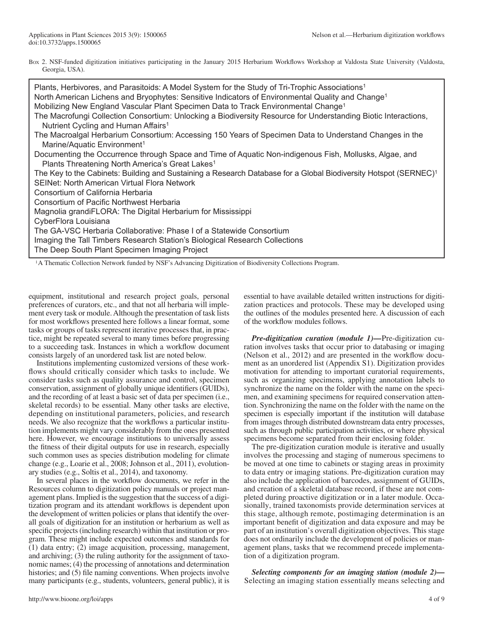Box 2. NSF-funded digitization initiatives participating in the January 2015 Herbarium Workflows Workshop at Valdosta State University (Valdosta, Georgia, USA).

| Plants, Herbivores, and Parasitoids: A Model System for the Study of Tri-Trophic Associations <sup>1</sup><br>North American Lichens and Bryophytes: Sensitive Indicators of Environmental Quality and Change <sup>1</sup><br>Mobilizing New England Vascular Plant Specimen Data to Track Environmental Change <sup>1</sup><br>The Macrofungi Collection Consortium: Unlocking a Biodiversity Resource for Understanding Biotic Interactions, |
|------------------------------------------------------------------------------------------------------------------------------------------------------------------------------------------------------------------------------------------------------------------------------------------------------------------------------------------------------------------------------------------------------------------------------------------------|
| Nutrient Cycling and Human Affairs <sup>1</sup>                                                                                                                                                                                                                                                                                                                                                                                                |
| The Macroalgal Herbarium Consortium: Accessing 150 Years of Specimen Data to Understand Changes in the<br>Marine/Aquatic Environment <sup>1</sup>                                                                                                                                                                                                                                                                                              |
| Documenting the Occurrence through Space and Time of Aquatic Non-indigenous Fish, Mollusks, Algae, and                                                                                                                                                                                                                                                                                                                                         |
| Plants Threatening North America's Great Lakes <sup>1</sup>                                                                                                                                                                                                                                                                                                                                                                                    |
| The Key to the Cabinets: Building and Sustaining a Research Database for a Global Biodiversity Hotspot (SERNEC) <sup>1</sup>                                                                                                                                                                                                                                                                                                                   |
| <b>SEINet: North American Virtual Flora Network</b>                                                                                                                                                                                                                                                                                                                                                                                            |
| Consortium of California Herbaria                                                                                                                                                                                                                                                                                                                                                                                                              |
| Consortium of Pacific Northwest Herbaria                                                                                                                                                                                                                                                                                                                                                                                                       |
| Magnolia grandiFLORA: The Digital Herbarium for Mississippi                                                                                                                                                                                                                                                                                                                                                                                    |
| CyberFlora Louisiana                                                                                                                                                                                                                                                                                                                                                                                                                           |
| The GA-VSC Herbaria Collaborative: Phase I of a Statewide Consortium                                                                                                                                                                                                                                                                                                                                                                           |
| Imaging the Tall Timbers Research Station's Biological Research Collections                                                                                                                                                                                                                                                                                                                                                                    |
| The Deep South Plant Specimen Imaging Project                                                                                                                                                                                                                                                                                                                                                                                                  |
|                                                                                                                                                                                                                                                                                                                                                                                                                                                |

<sup>1</sup>A Thematic Collection Network funded by NSF's Advancing Digitization of Biodiversity Collections Program.

equipment, institutional and research project goals, personal preferences of curators, etc., and that not all herbaria will implement every task or module. Although the presentation of task lists for most workflows presented here follows a linear format, some tasks or groups of tasks represent iterative processes that, in practice, might be repeated several to many times before progressing to a succeeding task. Instances in which a workflow document consists largely of an unordered task list are noted below.

 Institutions implementing customized versions of these workflows should critically consider which tasks to include. We consider tasks such as quality assurance and control, specimen conservation, assignment of globally unique identifiers (GUIDs), and the recording of at least a basic set of data per specimen (i.e., skeletal records) to be essential. Many other tasks are elective, depending on institutional parameters, policies, and research needs. We also recognize that the workflows a particular institution implements might vary considerably from the ones presented here. However, we encourage institutions to universally assess the fitness of their digital outputs for use in research, especially such common uses as species distribution modeling for climate change (e.g., Loarie et al., 2008; Johnson et al., 2011), evolutionary studies (e.g., Soltis et al., 2014), and taxonomy.

In several places in the workflow documents, we refer in the Resources column to digitization policy manuals or project management plans. Implied is the suggestion that the success of a digitization program and its attendant workflows is dependent upon the development of written policies or plans that identify the overall goals of digitization for an institution or herbarium as well as specific projects (including research) within that institution or program. These might include expected outcomes and standards for (1) data entry; (2) image acquisition, processing, management, and archiving; (3) the ruling authority for the assignment of taxonomic names; (4) the processing of annotations and determination histories; and (5) file naming conventions. When projects involve many participants (e.g., students, volunteers, general public), it is

essential to have available detailed written instructions for digitization practices and protocols. These may be developed using the outlines of the modules presented here. A discussion of each of the workflow modules follows.

*Pre-digitization curation (module 1)***—Pre-digitization cu**ration involves tasks that occur prior to databasing or imaging (Nelson et al., 2012) and are presented in the workflow document as an unordered list ([Appendix S1](http://www.bioone.org/doi/suppl/10.3732/apps.1500065/suppl_file/apps.1500065_s1.docx)). Digitization provides motivation for attending to important curatorial requirements, such as organizing specimens, applying annotation labels to synchronize the name on the folder with the name on the specimen, and examining specimens for required conservation attention. Synchronizing the name on the folder with the name on the specimen is especially important if the institution will database from images through distributed downstream data entry processes, such as through public participation activities, or where physical specimens become separated from their enclosing folder.

 The pre-digitization curation module is iterative and usually involves the processing and staging of numerous specimens to be moved at one time to cabinets or staging areas in proximity to data entry or imaging stations. Pre-digitization curation may also include the application of barcodes, assignment of GUIDs, and creation of a skeletal database record, if these are not completed during proactive digitization or in a later module. Occasionally, trained taxonomists provide determination services at this stage, although remote, postimaging determination is an important benefit of digitization and data exposure and may be part of an institution's overall digitization objectives. This stage does not ordinarily include the development of policies or management plans, tasks that we recommend precede implementation of a digitization program.

*Selecting components for an imaging station (module 2)* **—** Selecting an imaging station essentially means selecting and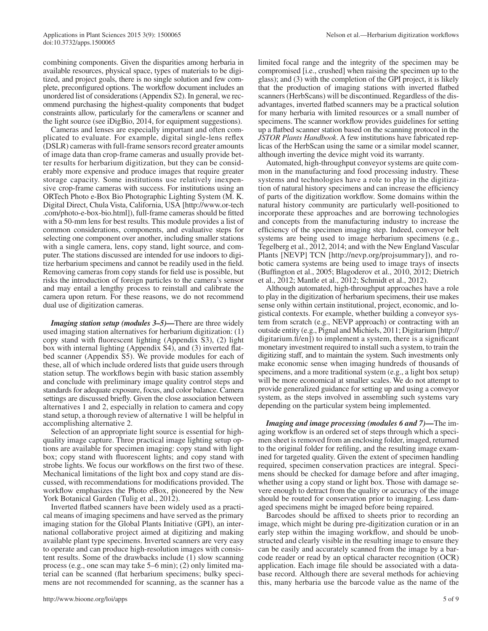combining components. Given the disparities among herbaria in available resources, physical space, types of materials to be digitized, and project goals, there is no single solution and few complete, preconfigured options. The workflow document includes an unordered list of considerations ([Appendix S2\)](http://www.bioone.org/doi/suppl/10.3732/apps.1500065/suppl_file/apps.1500065_s2.docx). In general, we recommend purchasing the highest-quality components that budget constraints allow, particularly for the camera/lens or scanner and the light source (see iDigBio, 2014 , for equipment suggestions).

 Cameras and lenses are especially important and often complicated to evaluate. For example, digital single-lens reflex (DSLR) cameras with full-frame sensors record greater amounts of image data than crop-frame cameras and usually provide better results for herbarium digitization, but they can be considerably more expensive and produce images that require greater storage capacity. Some institutions use relatively inexpensive crop-frame cameras with success. For institutions using an ORTech Photo e-Box Bio Photographic Lighting System (M. K. Digital Direct, Chula Vista, California, USA [\[ http://www.or-tech](http://www.or-tech.com/photo-e-box-bio.html) .com/photo-e-box-bio.html]), full-frame cameras should be fitted with a 50-mm lens for best results. This module provides a list of common considerations, components, and evaluative steps for selecting one component over another, including smaller stations with a single camera, lens, copy stand, light source, and computer. The stations discussed are intended for use indoors to digitize herbarium specimens and cannot be readily used in the field. Removing cameras from copy stands for field use is possible, but risks the introduction of foreign particles to the camera's sensor and may entail a lengthy process to reinstall and calibrate the camera upon return. For these reasons, we do not recommend dual use of digitization cameras.

*Imaging station setup (modules 3–5)—There are three widely* used imaging station alternatives for herbarium digitization: (1) copy stand with fluorescent lighting [\(Appendix S3\)](http://www.bioone.org/doi/suppl/10.3732/apps.1500065/suppl_file/apps.1500065_s3.docx), (2) light box with internal lighting ([Appendix S4](http://www.bioone.org/doi/suppl/10.3732/apps.1500065/suppl_file/apps.1500065_s4.docx)), and (3) inverted flatbed scanner ([Appendix S5](http://www.bioone.org/doi/suppl/10.3732/apps.1500065/suppl_file/apps.1500065_s5.docx)). We provide modules for each of these, all of which include ordered lists that guide users through station setup. The workflows begin with basic station assembly and conclude with preliminary image quality control steps and standards for adequate exposure, focus, and color balance. Camera settings are discussed briefly. Given the close association between alternatives 1 and 2, especially in relation to camera and copy stand setup, a thorough review of alternative 1 will be helpful in accomplishing alternative 2.

 Selection of an appropriate light source is essential for highquality image capture. Three practical image lighting setup options are available for specimen imaging: copy stand with light box; copy stand with fluorescent lights; and copy stand with strobe lights. We focus our workflows on the first two of these. Mechanical limitations of the light box and copy stand are discussed, with recommendations for modifications provided. The workflow emphasizes the Photo eBox, pioneered by the New York Botanical Garden (Tulig et al., 2012).

Inverted flatbed scanners have been widely used as a practical means of imaging specimens and have served as the primary imaging station for the Global Plants Initiative (GPI), an international collaborative project aimed at digitizing and making available plant type specimens. Inverted scanners are very easy to operate and can produce high-resolution images with consistent results. Some of the drawbacks include (1) slow scanning process (e.g., one scan may take 5–6 min); (2) only limited material can be scanned (flat herbarium specimens; bulky specimens are not recommended for scanning, as the scanner has a

limited focal range and the integrity of the specimen may be compromised [i.e., crushed] when raising the specimen up to the glass); and (3) with the completion of the GPI project, it is likely that the production of imaging stations with inverted flatbed scanners (HerbScans) will be discontinued. Regardless of the disadvantages, inverted flatbed scanners may be a practical solution for many herbaria with limited resources or a small number of specimens. The scanner workflow provides guidelines for setting up a fl atbed scanner station based on the scanning protocol in the *JSTOR Plants Handbook* . A few institutions have fabricated replicas of the HerbScan using the same or a similar model scanner, although inverting the device might void its warranty.

 Automated, high-throughput conveyor systems are quite common in the manufacturing and food processing industry. These systems and technologies have a role to play in the digitization of natural history specimens and can increase the efficiency of parts of the digitization workflow. Some domains within the natural history community are particularly well-positioned to incorporate these approaches and are borrowing technologies and concepts from the manufacturing industry to increase the efficiency of the specimen imaging step. Indeed, conveyor belt systems are being used to image herbarium specimens (e.g., Tegelberg et al., 2012, 2014; and with the New England Vascular Plants [NEVP] TCN [http://nevp.org/projsummary]), and robotic camera systems are being used to image trays of insects (Buffington et al., 2005; Blagoderov et al., 2010, 2012; Dietrich et al., 2012; Mantle et al., 2012; Schmidt et al., 2012).

 Although automated, high-throughput approaches have a role to play in the digitization of herbarium specimens, their use makes sense only within certain institutional, project, economic, and logistical contexts. For example, whether building a conveyor system from scratch (e.g., NEVP approach) or contracting with an outside entity (e.g., Pignal and Michiels, 2011 ; Digitarium [ [http://](http://digitarium.fi/en) digitarium.fi/en]) to implement a system, there is a significant monetary investment required to install such a system, to train the digitizing staff, and to maintain the system. Such investments only make economic sense when imaging hundreds of thousands of specimens, and a more traditional system (e.g., a light box setup) will be more economical at smaller scales. We do not attempt to provide generalized guidance for setting up and using a conveyor system, as the steps involved in assembling such systems vary depending on the particular system being implemented.

*Imaging and image processing (modules 6 and 7)—The im*aging workflow is an ordered set of steps through which a speci-men sheet is removed from an enclosing folder, imaged, returned to the original folder for refiling, and the resulting image examined for targeted quality. Given the extent of specimen handling required, specimen conservation practices are integral. Specimens should be checked for damage before and after imaging, whether using a copy stand or light box. Those with damage severe enough to detract from the quality or accuracy of the image should be routed for conservation prior to imaging. Less damaged specimens might be imaged before being repaired.

Barcodes should be affixed to sheets prior to recording an image, which might be during pre-digitization curation or in an early step within the imaging workflow, and should be unobstructed and clearly visible in the resulting image to ensure they can be easily and accurately scanned from the image by a barcode reader or read by an optical character recognition (OCR) application. Each image file should be associated with a database record. Although there are several methods for achieving this, many herbaria use the barcode value as the name of the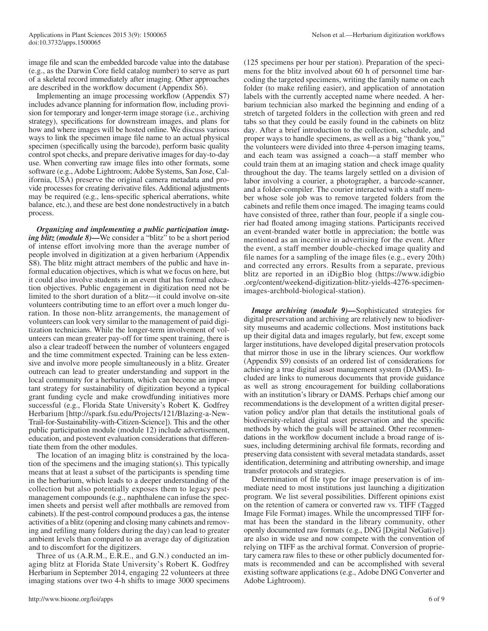image file and scan the embedded barcode value into the database (e.g., as the Darwin Core field catalog number) to serve as part of a skeletal record immediately after imaging. Other approaches are described in the workflow document ([Appendix S6\)](http://www.bioone.org/doi/suppl/10.3732/apps.1500065/suppl_file/apps.1500065_s6.docx).

Implementing an image processing workflow [\(Appendix S7\)](http://www.bioone.org/doi/suppl/10.3732/apps.1500065/suppl_file/apps.1500065_s7.docx) includes advance planning for information flow, including provision for temporary and longer-term image storage (i.e., archiving strategy), specifications for downstream images, and plans for how and where images will be hosted online. We discuss various ways to link the specimen image file name to an actual physical specimen (specifically using the barcode), perform basic quality control spot checks, and prepare derivative images for day-to-day use. When converting raw image files into other formats, some software (e.g., Adobe Lightroom; Adobe Systems, San Jose, California, USA) preserve the original camera metadata and provide processes for creating derivative files. Additional adjustments may be required (e.g., lens-specific spherical aberrations, white balance, etc.), and these are best done nondestructively in a batch process.

*Organizing and implementing a public participation imaging blitz (module 8)—* We consider a "blitz" to be a short period of intense effort involving more than the average number of people involved in digitization at a given herbarium ([Appendix](http://www.bioone.org/doi/suppl/10.3732/apps.1500065/suppl_file/apps.1500065_s8.docx)  [S8](http://www.bioone.org/doi/suppl/10.3732/apps.1500065/suppl_file/apps.1500065_s8.docx)). The blitz might attract members of the public and have informal education objectives, which is what we focus on here, but it could also involve students in an event that has formal education objectives. Public engagement in digitization need not be limited to the short duration of a blitz—it could involve on-site volunteers contributing time to an effort over a much longer duration. In those non-blitz arrangements, the management of volunteers can look very similar to the management of paid digitization technicians. While the longer-term involvement of volunteers can mean greater pay-off for time spent training, there is also a clear tradeoff between the number of volunteers engaged and the time commitment expected. Training can be less extensive and involve more people simultaneously in a blitz. Greater outreach can lead to greater understanding and support in the local community for a herbarium, which can become an important strategy for sustainability of digitization beyond a typical grant funding cycle and make crowdfunding initiatives more successful (e.g., Florida State University's Robert K. Godfrey Herbarium [http://spark.fsu.edu/Projects/121/Blazing-a-New-[Trail-for-Sustainability-with-Citizen-Science \]](http://spark.fsu.edu/Projects/121/Blazing-a-New-Trail-for-Sustainability-with-Citizen-Science)). This and the other public participation module (module 12) include advertisement, education, and postevent evaluation considerations that differentiate them from the other modules.

 The location of an imaging blitz is constrained by the location of the specimens and the imaging station(s). This typically means that at least a subset of the participants is spending time in the herbarium, which leads to a deeper understanding of the collection but also potentially exposes them to legacy pestmanagement compounds (e.g., naphthalene can infuse the specimen sheets and persist well after mothballs are removed from cabinets). If the pest-control compound produces a gas, the intense activities of a blitz (opening and closing many cabinets and removing and refiling many folders during the day) can lead to greater ambient levels than compared to an average day of digitization and to discomfort for the digitizers.

 Three of us (A.R.M., E.R.E., and G.N.) conducted an imaging blitz at Florida State University's Robert K. Godfrey Herbarium in September 2014, engaging 22 volunteers at three imaging stations over two 4-h shifts to image 3000 specimens

(125 specimens per hour per station). Preparation of the specimens for the blitz involved about 60 h of personnel time barcoding the targeted specimens, writing the family name on each folder (to make refiling easier), and application of annotation labels with the currently accepted name where needed. A herbarium technician also marked the beginning and ending of a stretch of targeted folders in the collection with green and red tabs so that they could be easily found in the cabinets on blitz day. After a brief introduction to the collection, schedule, and proper ways to handle specimens, as well as a big "thank you," the volunteers were divided into three 4-person imaging teams, and each team was assigned a coach—a staff member who could train them at an imaging station and check image quality throughout the day. The teams largely settled on a division of labor involving a courier, a photographer, a barcode-scanner, and a folder-compiler. The courier interacted with a staff member whose sole job was to remove targeted folders from the cabinets and refile them once imaged. The imaging teams could have consisted of three, rather than four, people if a single courier had floated among imaging stations. Participants received an event-branded water bottle in appreciation; the bottle was mentioned as an incentive in advertising for the event. After the event, a staff member double-checked image quality and file names for a sampling of the image files (e.g., every 20th) and corrected any errors. Results from a separate, previous blitz are reported in an iDigBio blog ( https://www.idigbio .org/content/weekend-digitization-blitz-yields-4276-specimenimages-archbold-biological-station ).

*Image archiving (module 9)*—Sophisticated strategies for digital preservation and archiving are relatively new to biodiversity museums and academic collections. Most institutions back up their digital data and images regularly, but few, except some larger institutions, have developed digital preservation protocols that mirror those in use in the library sciences. Our workflow ([Appendix S9\)](http://www.bioone.org/doi/suppl/10.3732/apps.1500065/suppl_file/apps.1500065_s9.docx) consists of an ordered list of considerations for achieving a true digital asset management system (DAMS). Included are links to numerous documents that provide guidance as well as strong encouragement for building collaborations with an institution's library or DAMS. Perhaps chief among our recommendations is the development of a written digital preservation policy and/or plan that details the institutional goals of biodiversity-related digital asset preservation and the specific methods by which the goals will be attained. Other recommendations in the workflow document include a broad range of issues, including determining archival file formats, recording and preserving data consistent with several metadata standards, asset identification, determining and attributing ownership, and image transfer protocols and strategies.

Determination of file type for image preservation is of immediate need to most institutions just launching a digitization program. We list several possibilities. Different opinions exist on the retention of camera or converted raw vs. TIFF (Tagged Image File Format) images. While the uncompressed TIFF format has been the standard in the library community, other openly documented raw formats (e.g., DNG [Digital NeGative]) are also in wide use and now compete with the convention of relying on TIFF as the archival format. Conversion of proprietary camera raw files to these or other publicly documented formats is recommended and can be accomplished with several existing software applications (e.g., Adobe DNG Converter and Adobe Lightroom).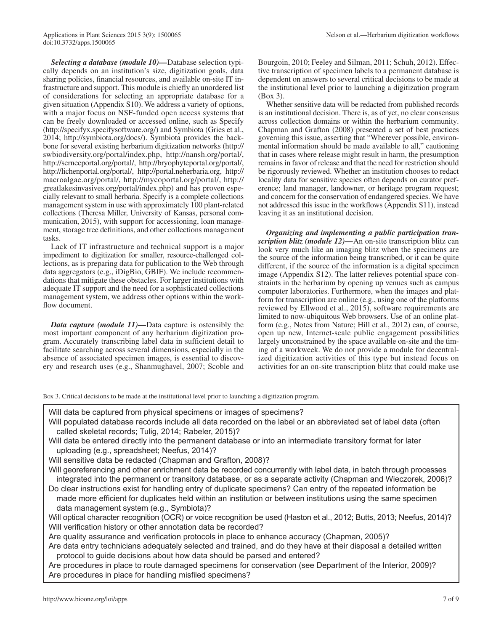**Selecting a database (module 10)—Database selection typi**cally depends on an institution's size, digitization goals, data sharing policies, financial resources, and available on-site IT infrastructure and support. This module is chiefly an unordered list of considerations for selecting an appropriate database for a given situation ([Appendix S10\)](http://www.bioone.org/doi/suppl/10.3732/apps.1500065/suppl_file/apps.1500065_s10.docx). We address a variety of options, with a major focus on NSF-funded open access systems that can be freely downloaded or accessed online, such as Specify (http://specifyx.specifysoftware.org/) and Symbiota (Gries et al., 2014; http://symbiota.org/docs/). Symbiota provides the backbone for several existing herbarium digitization networks ( http:// swbiodiversity.org/portal/index.php, http://nansh.org/portal/, http://sernecportal.org/portal/, http://bryophyteportal.org/portal/, http://lichenportal.org/portal/, http://portal.neherbaria.org, http:// macroalgae.org/portal/, http://mycoportal.org/portal/, http:// greatlakesinvasives.org/portal/index.php) and has proven especially relevant to small herbaria. Specify is a complete collections management system in use with approximately 100 plant-related collections (Theresa Miller, University of Kansas, personal communication, 2015), with support for accessioning, loan management, storage tree definitions, and other collections management tasks.

 Lack of IT infrastructure and technical support is a major impediment to digitization for smaller, resource-challenged collections, as is preparing data for publication to the Web through data aggregators (e.g., iDigBio, GBIF). We include recommendations that mitigate these obstacles. For larger institutions with adequate IT support and the need for a sophisticated collections management system, we address other options within the workflow document.

*Data capture (module 11)—Data capture is ostensibly the* most important component of any herbarium digitization program. Accurately transcribing label data in sufficient detail to facilitate searching across several dimensions, especially in the absence of associated specimen images, is essential to discovery and research uses (e.g., Shanmughavel, 2007; Scoble and Bourgoin, 2010; Feeley and Silman, 2011; Schuh, 2012). Effective transcription of specimen labels to a permanent database is dependent on answers to several critical decisions to be made at the institutional level prior to launching a digitization program  $(Box 3)$ .

 Whether sensitive data will be redacted from published records is an institutional decision. There is, as of yet, no clear consensus across collection domains or within the herbarium community. Chapman and Grafton (2008) presented a set of best practices governing this issue, asserting that "Wherever possible, environmental information should be made available to all," cautioning that in cases where release might result in harm, the presumption remains in favor of release and that the need for restriction should be rigorously reviewed. Whether an institution chooses to redact locality data for sensitive species often depends on curator preference; land manager, landowner, or heritage program request; and concern for the conservation of endangered species. We have not addressed this issue in the workflows ([Appendix S11\)](http://www.bioone.org/doi/suppl/10.3732/apps.1500065/suppl_file/apps.1500065_s11.docx), instead leaving it as an institutional decision.

*Organizing and implementing a public participation transcription blitz (module 12)—An on-site transcription blitz can* look very much like an imaging blitz when the specimens are the source of the information being transcribed, or it can be quite different, if the source of the information is a digital specimen image ([Appendix S12](http://www.bioone.org/doi/suppl/10.3732/apps.1500065/suppl_file/apps.1500065_s12.docx)). The latter relieves potential space constraints in the herbarium by opening up venues such as campus computer laboratories. Furthermore, when the images and platform for transcription are online (e.g., using one of the platforms reviewed by Ellwood et al., 2015), software requirements are limited to now-ubiquitous Web browsers. Use of an online platform (e.g., Notes from Nature; Hill et al., 2012) can, of course, open up new, Internet-scale public engagement possibilities largely unconstrained by the space available on-site and the timing of a workweek. We do not provide a module for decentralized digitization activities of this type but instead focus on activities for an on-site transcription blitz that could make use

BOX 3. Critical decisions to be made at the institutional level prior to launching a digitization program.

- Will data be captured from physical specimens or images of specimens?
- Will populated database records include all data recorded on the label or an abbreviated set of label data (often called skeletal records; Tulig, 2014; Rabeler, 2015)?
- Will data be entered directly into the permanent database or into an intermediate transitory format for later uploading (e.g., spreadsheet; Neefus, 2014)?
- Will sensitive data be redacted (Chapman and Grafton, 2008)?
- Will georeferencing and other enrichment data be recorded concurrently with label data, in batch through processes integrated into the permanent or transitory database, or as a separate activity (Chapman and Wieczorek, 2006)?
- Do clear instructions exist for handling entry of duplicate specimens? Can entry of the repeated information be made more efficient for duplicates held within an institution or between institutions using the same specimen data management system (e.g., Symbiota)?

Will optical character recognition (OCR) or voice recognition be used (Haston et al., 2012; Butts, 2013; Neefus, 2014)? Will verification history or other annotation data be recorded?

Are quality assurance and verification protocols in place to enhance accuracy (Chapman, 2005)?

Are data entry technicians adequately selected and trained, and do they have at their disposal a detailed written protocol to guide decisions about how data should be parsed and entered?

Are procedures in place to route damaged specimens for conservation (see Department of the Interior, 2009 )? Are procedures in place for handling misfiled specimens?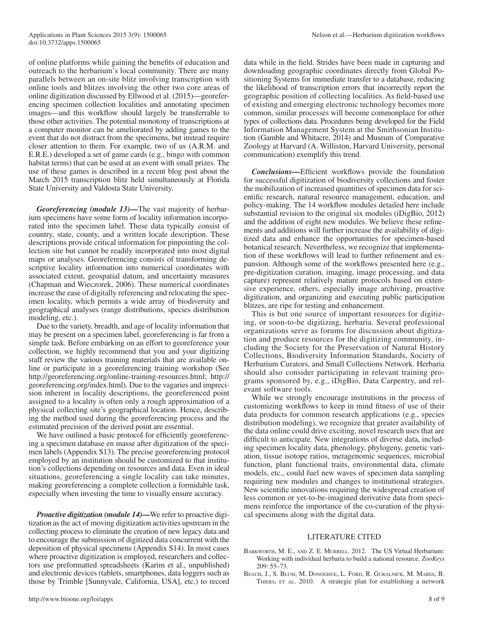of online platforms while gaining the benefits of education and outreach to the herbarium's local community. There are many parallels between an on-site blitz involving transcription with online tools and blitzes involving the other two core areas of online digitization discussed by Ellwood et al. (2015) —georeferencing specimen collection localities and annotating specimen images—and this workflow should largely be transferrable to those other activities. The potential monotony of transcriptions at a computer monitor can be ameliorated by adding games to the event that do not distract from the specimens, but instead require closer attention to them. For example, two of us (A.R.M. and E.R.E.) developed a set of game cards (e.g., bingo with common habitat terms) that can be used at an event with small prizes. The use of these games is described in a recent blog post about the March 2015 transcription blitz held simultaneously at Florida State University and Valdosta State University.

*Georeferencing (module 13)—The vast majority of herbar*ium specimens have some form of locality information incorporated into the specimen label. These data typically consist of country, state, county, and a written locale description. These descriptions provide critical information for pinpointing the collection site but cannot be readily incorporated into most digital maps or analyses. Georeferencing consists of transforming descriptive locality information into numerical coordinates with associated extent, geospatial datum, and uncertainty measures (Chapman and Wieczorek, 2006). These numerical coordinates increase the ease of digitally referencing and relocating the specimen locality, which permits a wide array of biodiversity and geographical analyses (range distributions, species distribution modeling, etc.).

 Due to the variety, breadth, and age of locality information that may be present on a specimen label, georeferencing is far from a simple task. Before embarking on an effort to georeference your collection, we highly recommend that you and your digitizing staff review the various training materials that are available online or participate in a georeferencing training workshop (See http://georeferencing.org/online-training-resources.html; http:// georeferencing.org/index.html ). Due to the vagaries and imprecision inherent in locality descriptions, the georeferenced point assigned to a locality is often only a rough approximation of a physical collecting site's geographical location. Hence, describing the method used during the georeferencing process and the estimated precision of the derived point are essential.

We have outlined a basic protocol for efficiently georeferencing a specimen database en masse after digitization of the specimen labels ([Appendix S13\)](http://www.bioone.org/doi/suppl/10.3732/apps.1500065/suppl_file/apps.1500065_s13.docx). The precise georeferencing protocol employed by an institution should be customized to that institution's collections depending on resources and data. Even in ideal situations, georeferencing a single locality can take minutes, making georeferencing a complete collection a formidable task, especially when investing the time to visually ensure accuracy.

*Proactive digitization (module 14)—We refer to proactive digi*tization as the act of moving digitization activities upstream in the collecting process to eliminate the creation of new legacy data and to encourage the submission of digitized data concurrent with the deposition of physical specimens [\(Appendix S14\)](http://www.bioone.org/doi/suppl/10.3732/apps.1500065/suppl_file/apps.1500065_s14.docx). In most cases where proactive digitization is employed, researchers and collectors use preformatted spreadsheets (Karim et al., unpublished) and electronic devices (tablets, smartphones, data loggers such as those by Trimble [Sunnyvale, California, USA], etc.) to record

data while in the field. Strides have been made in capturing and downloading geographic coordinates directly from Global Positioning Systems for immediate transfer to a database, reducing the likelihood of transcription errors that incorrectly report the geographic position of collecting localities. As field-based use of existing and emerging electronic technology becomes more common, similar processes will become commonplace for other types of collections data. Procedures being developed for the Field Information Management System at the Smithsonian Institution (Gamble and Whitacre, 2014) and Museum of Comparative Zoology at Harvard (A. Williston, Harvard University, personal communication) exemplify this trend.

*Conclusions***—** Efficient workflows provide the foundation for successful digitization of biodiversity collections and foster the mobilization of increased quantities of specimen data for scientific research, natural resource management, education, and policy-making. The 14 workflow modules detailed here include substantial revision to the original six modules (iDigBio, 2012) and the addition of eight new modules. We believe these refinements and additions will further increase the availability of digitized data and enhance the opportunities for specimen-based botanical research. Nevertheless, we recognize that implementation of these workflows will lead to further refinement and expansion. Although some of the workflows presented here (e.g., pre-digitization curation, imaging, image processing, and data capture) represent relatively mature protocols based on extensive experience, others, especially image archiving, proactive digitization, and organizing and executing public participation blitzes, are ripe for testing and enhancement.

 This is but one source of important resources for digitizing, or soon-to-be digitizing, herbaria. Several professional organizations serve as forums for discussion about digitization and produce resources for the digitizing community, including the Society for the Preservation of Natural History Collections, Biodiversity Information Standards, Society of Herbarium Curators, and Small Collections Network. Herbaria should also consider participating in relevant training programs sponsored by, e.g., iDigBio, Data Carpentry, and relevant software tools.

 While we strongly encourage institutions in the process of customizing workflows to keep in mind fitness of use of their data products for common research applications (e.g., species distribution modeling), we recognize that greater availability of the data online could drive exciting, novel research uses that are difficult to anticipate. New integrations of diverse data, including specimen locality data, phenology, phylogeny, genetic variation, tissue isotope ratios, metagenomic sequences, microbial function, plant functional traits, environmental data, climate models, etc., could fuel new waves of specimen data sampling requiring new modules and changes to institutional strategies. New scientific innovations requiring the widespread creation of less common or yet-to-be-imagined derivative data from specimens reinforce the importance of the co-curation of the physical specimens along with the digital data.

#### LITERATURE CITED

- BARKWORTH, M. E., AND Z. E. MURRELL. 2012. The US Virtual Herbarium: Working with individual herbaria to build a national resource. *ZooKeys* 209: 55-73.
- BEACH, J., S. BLUM, M. DONOGHUE, L. FORD, R. GURALNICK, M. MARES, B. THIERS, ET AL. 2010. A strategic plan for establishing a network